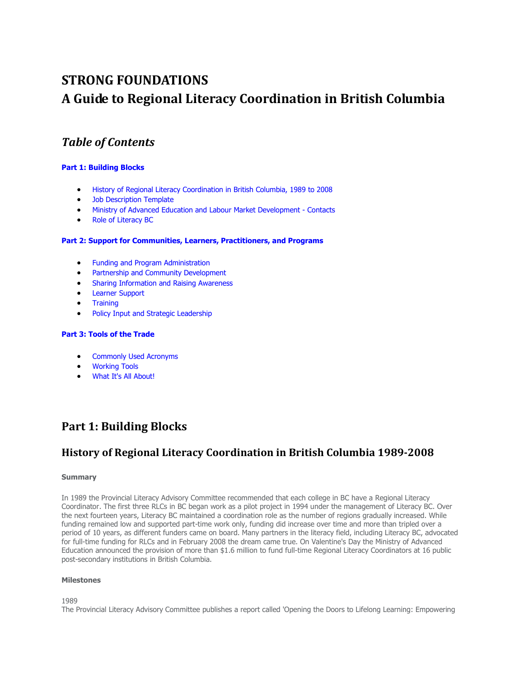# **STRONG FOUNDATIONS A Guide to Regional Literacy Coordination in British Columbia**

# *Table of Contents*

#### **Part 1: Building Blocks**

- History of Regional Literacy Coordination in British Columbia, 1989 to 2008
- **Job Description Template**
- [Ministry of Advanced Education and Labour Market Development Contacts](#page-3-0)
- [Role of Literacy BC](#page-4-0)

#### **[Part 2: Support for Communities, Learners, Practitioners, and Programs](#page-6-0)**

- [Funding and Program Administration](#page-6-0)
- [Partnership and Community Development](#page-7-0)
- [Sharing Information and Raising Awareness](#page-8-0)
- [Learner Support](#page-11-0)
- **Training**
- [Policy Input and Strategic Leadership](#page-12-0)

#### **[Part 3: Tools of the Trade](#page-13-0)**

- [Commonly Used Acronyms](#page-13-0)
- [Working Tools](#page-14-0)
- [What It's All About!](#page-15-0)

# **Part 1: Building Blocks**

### **History of Regional Literacy Coordination in British Columbia 1989-2008**

#### **Summary**

In 1989 the Provincial Literacy Advisory Committee recommended that each college in BC have a Regional Literacy Coordinator. The first three RLCs in BC began work as a pilot project in 1994 under the management of Literacy BC. Over the next fourteen years, Literacy BC maintained a coordination role as the number of regions gradually increased. While funding remained low and supported part-time work only, funding did increase over time and more than tripled over a period of 10 years, as different funders came on board. Many partners in the literacy field, including Literacy BC, advocated for full-time funding for RLCs and in February 2008 the dream came true. On Valentine's Day the Ministry of Advanced Education announced the provision of more than \$1.6 million to fund full-time Regional Literacy Coordinators at 16 public post-secondary institutions in British Columbia.

#### **Milestones**

1989

The Provincial Literacy Advisory Committee publishes a report called 'Opening the Doors to Lifelong Learning: Empowering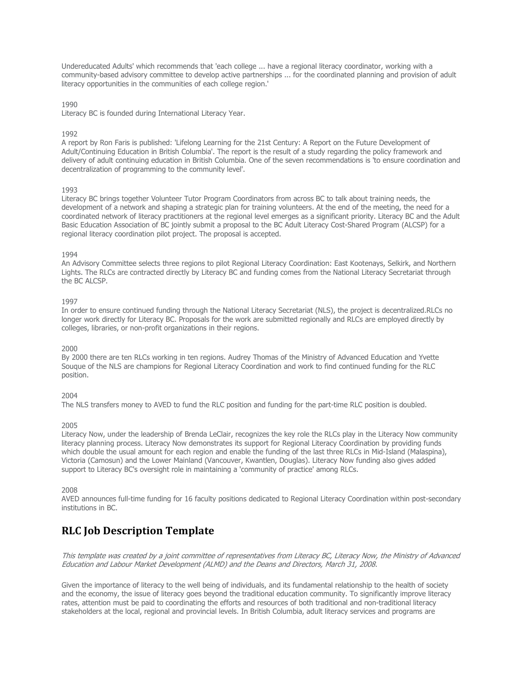<span id="page-1-0"></span>Undereducated Adults' which recommends that 'each college ... have a regional literacy coordinator, working with a community-based advisory committee to develop active partnerships ... for the coordinated planning and provision of adult literacy opportunities in the communities of each college region.'

1990

Literacy BC is founded during International Literacy Year.

1992

A report by Ron Faris is published: 'Lifelong Learning for the 21st Century: A Report on the Future Development of Adult/Continuing Education in British Columbia'. The report is the result of a study regarding the policy framework and delivery of adult continuing education in British Columbia. One of the seven recommendations is 'to ensure coordination and decentralization of programming to the community level'.

#### 1993

Literacy BC brings together Volunteer Tutor Program Coordinators from across BC to talk about training needs, the development of a network and shaping a strategic plan for training volunteers. At the end of the meeting, the need for a coordinated network of literacy practitioners at the regional level emerges as a significant priority. Literacy BC and the Adult Basic Education Association of BC jointly submit a proposal to the BC Adult Literacy Cost-Shared Program (ALCSP) for a regional literacy coordination pilot project. The proposal is accepted.

#### 1994

An Advisory Committee selects three regions to pilot Regional Literacy Coordination: East Kootenays, Selkirk, and Northern Lights. The RLCs are contracted directly by Literacy BC and funding comes from the National Literacy Secretariat through the BC ALCSP.

#### 1997

In order to ensure continued funding through the National Literacy Secretariat (NLS), the project is decentralized.RLCs no longer work directly for Literacy BC. Proposals for the work are submitted regionally and RLCs are employed directly by colleges, libraries, or non-profit organizations in their regions.

#### 2000

By 2000 there are ten RLCs working in ten regions. Audrey Thomas of the Ministry of Advanced Education and Yvette Souque of the NLS are champions for Regional Literacy Coordination and work to find continued funding for the RLC position.

#### 2004

The NLS transfers money to AVED to fund the RLC position and funding for the part-time RLC position is doubled.

#### 2005

Literacy Now, under the leadership of Brenda LeClair, recognizes the key role the RLCs play in the Literacy Now community literacy planning process. Literacy Now demonstrates its support for Regional Literacy Coordination by providing funds which double the usual amount for each region and enable the funding of the last three RLCs in Mid-Island (Malaspina), Victoria (Camosun) and the Lower Mainland (Vancouver, Kwantlen, Douglas). Literacy Now funding also gives added support to Literacy BC's oversight role in maintaining a 'community of practice' among RLCs.

#### 2008

AVED announces full-time funding for 16 faculty positions dedicated to Regional Literacy Coordination within post-secondary institutions in BC.

### **RLC Job Description Template**

This template was created by a joint committee of representatives from Literacy BC, Literacy Now, the Ministry of Advanced Education and Labour Market Development (ALMD) and the Deans and Directors, March 31, 2008.

Given the importance of literacy to the well being of individuals, and its fundamental relationship to the health of society and the economy, the issue of literacy goes beyond the traditional education community. To significantly improve literacy rates, attention must be paid to coordinating the efforts and resources of both traditional and non-traditional literacy stakeholders at the local, regional and provincial levels. In British Columbia, adult literacy services and programs are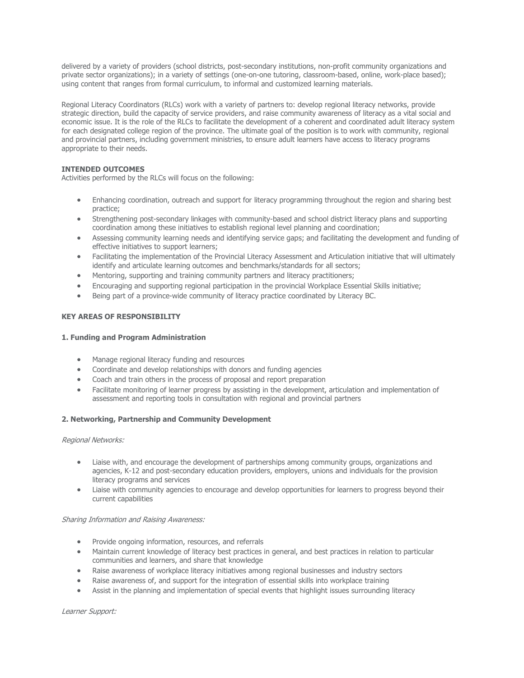delivered by a variety of providers (school districts, post-secondary institutions, non-profit community organizations and private sector organizations); in a variety of settings (one-on-one tutoring, classroom-based, online, work-place based); using content that ranges from formal curriculum, to informal and customized learning materials.

Regional Literacy Coordinators (RLCs) work with a variety of partners to: develop regional literacy networks, provide strategic direction, build the capacity of service providers, and raise community awareness of literacy as a vital social and economic issue. It is the role of the RLCs to facilitate the development of a coherent and coordinated adult literacy system for each designated college region of the province. The ultimate goal of the position is to work with community, regional and provincial partners, including government ministries, to ensure adult learners have access to literacy programs appropriate to their needs.

#### **INTENDED OUTCOMES**

Activities performed by the RLCs will focus on the following:

- Enhancing coordination, outreach and support for literacy programming throughout the region and sharing best practice;
- Strengthening post-secondary linkages with community-based and school district literacy plans and supporting coordination among these initiatives to establish regional level planning and coordination;
- Assessing community learning needs and identifying service gaps; and facilitating the development and funding of effective initiatives to support learners;
- Facilitating the implementation of the Provincial Literacy Assessment and Articulation initiative that will ultimately identify and articulate learning outcomes and benchmarks/standards for all sectors;
- Mentoring, supporting and training community partners and literacy practitioners;
- Encouraging and supporting regional participation in the provincial Workplace Essential Skills initiative;
- Being part of a province-wide community of literacy practice coordinated by Literacy BC.

#### **KEY AREAS OF RESPONSIBILITY**

#### **1. Funding and Program Administration**

- Manage regional literacy funding and resources
- Coordinate and develop relationships with donors and funding agencies
- Coach and train others in the process of proposal and report preparation
- Facilitate monitoring of learner progress by assisting in the development, articulation and implementation of assessment and reporting tools in consultation with regional and provincial partners

#### **2. Networking, Partnership and Community Development**

#### Regional Networks:

- Liaise with, and encourage the development of partnerships among community groups, organizations and agencies, K-12 and post-secondary education providers, employers, unions and individuals for the provision literacy programs and services
- Liaise with community agencies to encourage and develop opportunities for learners to progress beyond their current capabilities

#### Sharing Information and Raising Awareness:

- Provide ongoing information, resources, and referrals
- Maintain current knowledge of literacy best practices in general, and best practices in relation to particular communities and learners, and share that knowledge
- Raise awareness of workplace literacy initiatives among regional businesses and industry sectors
- Raise awareness of, and support for the integration of essential skills into workplace training
- Assist in the planning and implementation of special events that highlight issues surrounding literacy

Learner Support: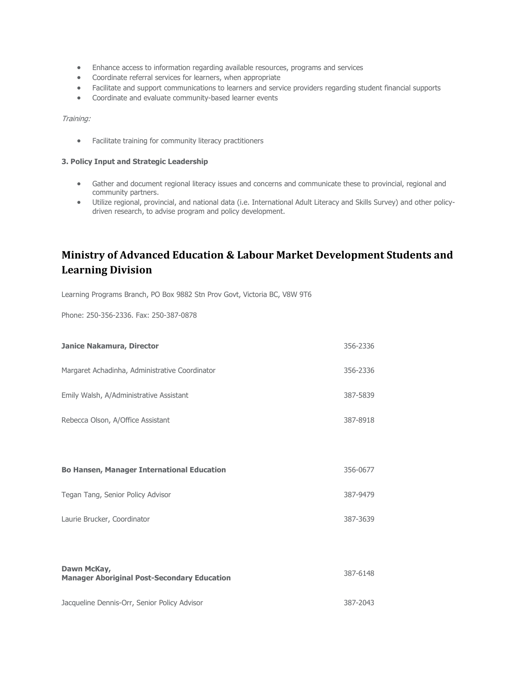- <span id="page-3-0"></span>• Enhance access to information regarding available resources, programs and services
- Coordinate referral services for learners, when appropriate
- Facilitate and support communications to learners and service providers regarding student financial supports
- Coordinate and evaluate community-based learner events

Training:

• Facilitate training for community literacy practitioners

#### **3. Policy Input and Strategic Leadership**

- Gather and document regional literacy issues and concerns and communicate these to provincial, regional and community partners.
- Utilize regional, provincial, and national data (i.e. International Adult Literacy and Skills Survey) and other policydriven research, to advise program and policy development.

## **Ministry of Advanced Education & Labour Market Development Students and Learning Division**

Learning Programs Branch, PO Box 9882 Stn Prov Govt, Victoria BC, V8W 9T6

Phone: 250-356-2336. Fax: 250-387-0878

| Janice Nakamura, Director                                         | 356-2336 |
|-------------------------------------------------------------------|----------|
| Margaret Achadinha, Administrative Coordinator                    | 356-2336 |
| Emily Walsh, A/Administrative Assistant                           | 387-5839 |
| Rebecca Olson, A/Office Assistant                                 | 387-8918 |
|                                                                   |          |
| <b>Bo Hansen, Manager International Education</b>                 | 356-0677 |
| Tegan Tang, Senior Policy Advisor                                 | 387-9479 |
| Laurie Brucker, Coordinator                                       | 387-3639 |
|                                                                   |          |
| Dawn McKay,<br><b>Manager Aboriginal Post-Secondary Education</b> | 387-6148 |
| Jacqueline Dennis-Orr, Senior Policy Advisor                      | 387-2043 |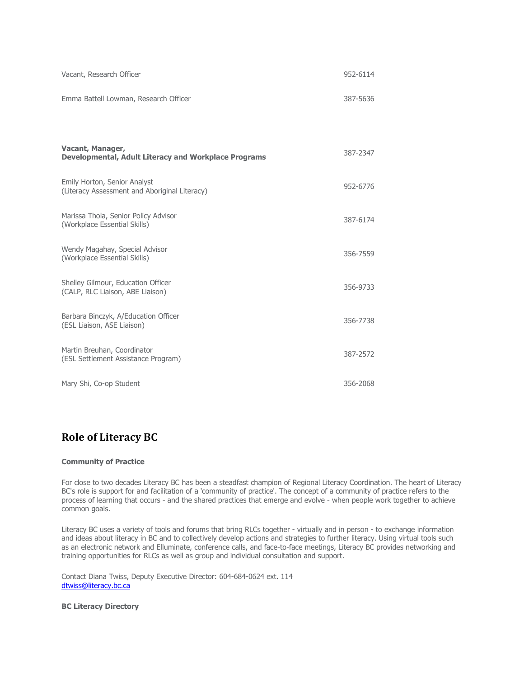<span id="page-4-0"></span>

| Vacant, Research Officer                                                        | 952-6114 |
|---------------------------------------------------------------------------------|----------|
| Emma Battell Lowman, Research Officer                                           | 387-5636 |
|                                                                                 |          |
| Vacant, Manager,<br><b>Developmental, Adult Literacy and Workplace Programs</b> | 387-2347 |
| Emily Horton, Senior Analyst<br>(Literacy Assessment and Aboriginal Literacy)   | 952-6776 |
| Marissa Thola, Senior Policy Advisor<br>(Workplace Essential Skills)            | 387-6174 |
| Wendy Magahay, Special Advisor<br>(Workplace Essential Skills)                  | 356-7559 |
| Shelley Gilmour, Education Officer<br>(CALP, RLC Liaison, ABE Liaison)          | 356-9733 |
| Barbara Binczyk, A/Education Officer<br>(ESL Liaison, ASE Liaison)              | 356-7738 |
| Martin Breuhan, Coordinator<br>(ESL Settlement Assistance Program)              | 387-2572 |
| Mary Shi, Co-op Student                                                         | 356-2068 |

### **Role of Literacy BC**

#### **Community of Practice**

For close to two decades Literacy BC has been a steadfast champion of Regional Literacy Coordination. The heart of Literacy BC's role is support for and facilitation of a 'community of practice'. The concept of a community of practice refers to the process of learning that occurs - and the shared practices that emerge and evolve - when people work together to achieve common goals.

Literacy BC uses a variety of tools and forums that bring RLCs together - virtually and in person - to exchange information and ideas about literacy in BC and to collectively develop actions and strategies to further literacy. Using virtual tools such as an electronic network and Elluminate, conference calls, and face-to-face meetings, Literacy BC provides networking and training opportunities for RLCs as well as group and individual consultation and support.

Contact Diana Twiss, Deputy Executive Director: 604-684-0624 ext. 114 [dtwiss@literacy.bc.ca](mailto:dtwiss@literacy.bc.ca)

**BC Literacy Directory**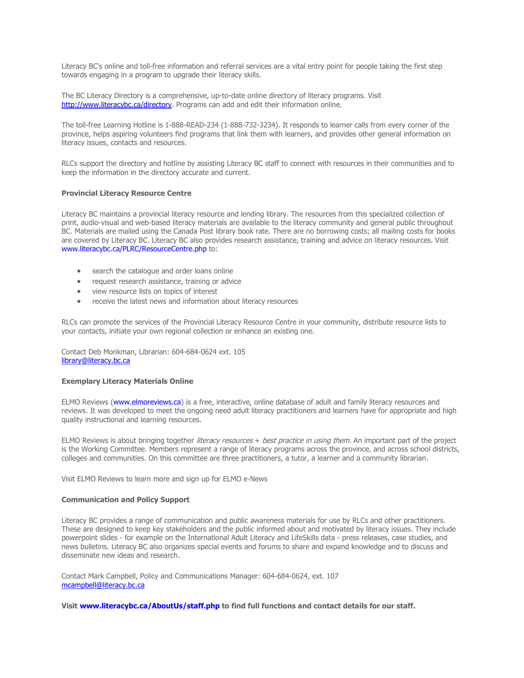Literacy BC's online and toll-free information and referral services are a vital entry point for people taking the first step towards engaging in a program to upgrade their literacy skills.

The BC Literacy Directory is a comprehensive, up-to-date online directory of literacy programs. Visit [http://www.literacybc.ca/directory.](http://directory.literacybc.ca/index2.htm) Programs can add and edit their information online.

The toll-free Learning Hotline is 1-888-READ-234 (1-888-732-3234). It responds to learner calls from every corner of the province, helps aspiring volunteers find programs that link them with learners, and provides other general information on literacy issues, contacts and resources.

RLCs support the directory and hotline by assisting Literacy BC staff to connect with resources in their communities and to keep the information in the directory accurate and current.

#### **Provincial Literacy Resource Centre**

Literacy BC maintains a provincial literacy resource and lending library. The resources from this specialized collection of print, audio-visual and web-based literacy materials are available to the literacy community and general public throughout BC. Materials are mailed using the Canada Post library book rate. There are no borrowing costs; all mailing costs for books are covered by Literacy BC. Literacy BC also provides research assistance, training and advice on literacy resources. Visit www.literacybc.ca/PLRC/ResourceCentre.php to:

- search the catalogue and order loans online
- request research assistance, training or advice
- view resource lists on topics of interest
- receive the latest news and information about literacy resources

RLCs can promote the services of the Provincial Literacy Resource Centre in your community, distribute resource lists to your contacts, initiate your own regional collection or enhance an existing one.

Contact Deb Monkman, Librarian: 604-684-0624 ext. 105 [library@literacy.bc.ca](mailto:library@literacy.bc.ca)

#### **Exemplary Literacy Materials Online**

ELMO Reviews [\(www.elmoreviews.ca\)](http://www.elmoreviews.ca/) is a free, interactive, online database of adult and family literacy resources and reviews. It was developed to meet the ongoing need adult literacy practitioners and learners have for appropriate and high quality instructional and learning resources.

ELMO Reviews is about bringing together *literacy resources*  $+$  *best practice in using them.* An important part of the project is the Working Committee. Members represent a range of literacy programs across the province, and across school districts, colleges and communities. On this committee are three practitioners, a tutor, a learner and a community librarian.

Visit ELMO Reviews to learn more and sign up for ELMO e-News

#### **Communication and Policy Support**

Literacy BC provides a range of communication and public awareness materials for use by RLCs and other practitioners. These are designed to keep key stakeholders and the public informed about and motivated by literacy issues. They include powerpoint slides - for example on the International Adult Literacy and LifeSkills data - press releases, case studies, and news bulletins. Literacy BC also organizes special events and forums to share and expand knowledge and to discuss and disseminate new ideas and research.

Contact Mark Campbell, Policy and Communications Manager: 604-684-0624, ext. 107 [mcampbell@literacy.bc.ca](mailto:mcampbell@literacy.bc.ca) 

**Visit [www.literacybc.ca/AboutUs/staff.php](http://www.literacybc.ca/AboutUs/staff.php) to find full functions and contact details for our staff.**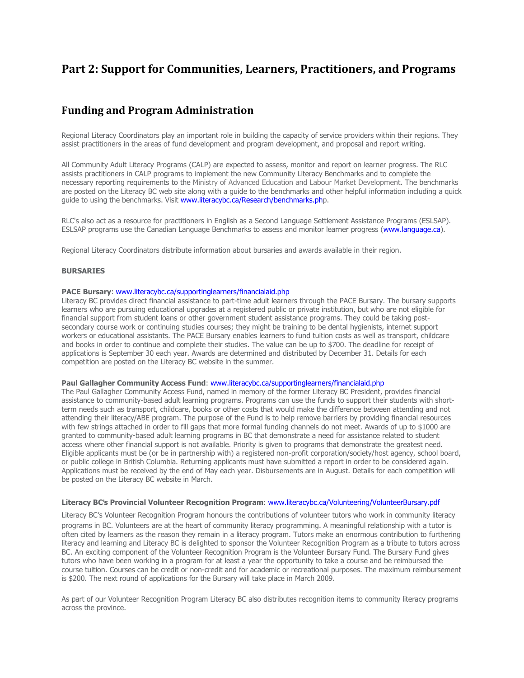## <span id="page-6-0"></span>**Part 2: Support for Communities, Learners, Practitioners, and Programs**

### **Funding and Program Administration**

Regional Literacy Coordinators play an important role in building the capacity of service providers within their regions. They assist practitioners in the areas of fund development and program development, and proposal and report writing.

All Community Adult Literacy Programs (CALP) are expected to assess, monitor and report on learner progress. The RLC assists practitioners in CALP programs to implement the new Community Literacy Benchmarks and to complete the necessary reporting requirements to the Ministry of Advanced Education and Labour Market Development. The benchmarks are posted on the Literacy BC web site along with a guide to the benchmarks and other helpful information including a quick guide to using the benchmarks. Visit [www.literacybc.ca/Research/benchmarks.php.](http://www.literacybc.ca/Research/benchmarks.php)

RLC's also act as a resource for practitioners in English as a Second Language Settlement Assistance Programs (ESLSAP). ESLSAP programs use the Canadian Language Benchmarks to assess and monitor learner progress [\(www.language.ca\)](http://www.language.ca/).

Regional Literacy Coordinators distribute information about bursaries and awards available in their region.

#### **BURSARIES**

#### **PACE Bursary**: [www.literacybc.ca/supportinglearners/financialaid.php](http://www.literacybc.ca/supportinglearners/financialaid.php)

Literacy BC provides direct financial assistance to part-time adult learners through the PACE Bursary. The bursary supports learners who are pursuing educational upgrades at a registered public or private institution, but who are not eligible for financial support from student loans or other government student assistance programs. They could be taking postsecondary course work or continuing studies courses; they might be training to be dental hygienists, internet support workers or educational assistants. The PACE Bursary enables learners to fund tuition costs as well as transport, childcare and books in order to continue and complete their studies. The value can be up to \$700. The deadline for receipt of applications is September 30 each year. Awards are determined and distributed by December 31. Details for each competition are posted on the Literacy BC website in the summer.

#### **Paul Gallagher Community Access Fund**: [www.literacybc.ca/supportinglearners/financialaid.php](http://www.literacybc.ca/supportinglearners/financialaid.php)

The Paul Gallagher Community Access Fund, named in memory of the former Literacy BC President, provides financial assistance to community-based adult learning programs. Programs can use the funds to support their students with shortterm needs such as transport, childcare, books or other costs that would make the difference between attending and not attending their literacy/ABE program. The purpose of the Fund is to help remove barriers by providing financial resources with few strings attached in order to fill gaps that more formal funding channels do not meet. Awards of up to \$1000 are granted to community-based adult learning programs in BC that demonstrate a need for assistance related to student access where other financial support is not available. Priority is given to programs that demonstrate the greatest need. Eligible applicants must be (or be in partnership with) a registered non-profit corporation/society/host agency, school board, or public college in British Columbia. Returning applicants must have submitted a report in order to be considered again. Applications must be received by the end of May each year. Disbursements are in August. Details for each competition will be posted on the Literacy BC website in March.

#### **Literacy BC**'**s Provincial Volunteer Recognition Program**: [www.literacybc.ca/Volunteering/VolunteerBursary.pdf](http://www.literacybc.ca/Volunteering/VolunteerBursary.pdf)

Literacy BC's Volunteer Recognition Program honours the contributions of volunteer tutors who work in community literacy programs in BC. Volunteers are at the heart of community literacy programming. A meaningful relationship with a tutor is often cited by learners as the reason they remain in a literacy program. Tutors make an enormous contribution to furthering literacy and learning and Literacy BC is delighted to sponsor the Volunteer Recognition Program as a tribute to tutors across BC. An exciting component of the Volunteer Recognition Program is the Volunteer Bursary Fund. The Bursary Fund gives tutors who have been working in a program for at least a year the opportunity to take a course and be reimbursed the course tuition. Courses can be credit or non-credit and for academic or recreational purposes. The maximum reimbursement is \$200. The next round of applications for the Bursary will take place in March 2009.

As part of our Volunteer Recognition Program Literacy BC also distributes recognition items to community literacy programs across the province.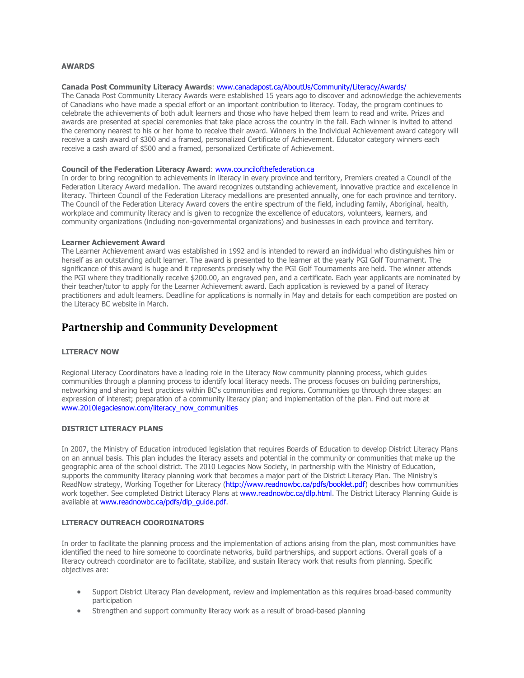#### <span id="page-7-0"></span>**AWARDS**

#### **Canada Post Community Literacy Awards**: [www.canadapost.ca/AboutUs/Community/Literacy/Awards/](http://www.canadapost.ca/AboutUs/Community/Literacy/Awards/)

The Canada Post Community Literacy Awards were established 15 years ago to discover and acknowledge the achievements of Canadians who have made a special effort or an important contribution to literacy. Today, the program continues to celebrate the achievements of both adult learners and those who have helped them learn to read and write. Prizes and awards are presented at special ceremonies that take place across the country in the fall. Each winner is invited to attend the ceremony nearest to his or her home to receive their award. Winners in the Individual Achievement award category will receive a cash award of \$300 and a framed, personalized Certificate of Achievement. Educator category winners each receive a cash award of \$500 and a framed, personalized Certificate of Achievement.

#### **Council of the Federation Literacy Award**[: www.councilofthefederation.ca](http://www.councilofthefederation.ca/)

In order to bring recognition to achievements in literacy in every province and territory, Premiers created a Council of the Federation Literacy Award medallion. The award recognizes outstanding achievement, innovative practice and excellence in literacy. Thirteen Council of the Federation Literacy medallions are presented annually, one for each province and territory. The Council of the Federation Literacy Award covers the entire spectrum of the field, including family, Aboriginal, health, workplace and community literacy and is given to recognize the excellence of educators, volunteers, learners, and community organizations (including non-governmental organizations) and businesses in each province and territory.

#### **Learner Achievement Award**

The Learner Achievement award was established in 1992 and is intended to reward an individual who distinguishes him or herself as an outstanding adult learner. The award is presented to the learner at the yearly PGI Golf Tournament. The significance of this award is huge and it represents precisely why the PGI Golf Tournaments are held. The winner attends the PGI where they traditionally receive \$200.00, an engraved pen, and a certificate. Each year applicants are nominated by their teacher/tutor to apply for the Learner Achievement award. Each application is reviewed by a panel of literacy practitioners and adult learners. Deadline for applications is normally in May and details for each competition are posted on the Literacy BC website in March.

### **Partnership and Community Development**

#### **LITERACY NOW**

Regional Literacy Coordinators have a leading role in the Literacy Now community planning process, which guides communities through a planning process to identify local literacy needs. The process focuses on building partnerships, networking and sharing best practices within BC's communities and regions. Communities go through three stages: an expression of interest; preparation of a community literacy plan; and implementation of the plan. Find out more at [www.2010legaciesnow.com/literacy\\_now\\_communities](http://www.2010legaciesnow.com/literacy_now_communities/)

#### **DISTRICT LITERACY PLANS**

In 2007, the Ministry of Education introduced legislation that requires Boards of Education to develop District Literacy Plans on an annual basis. This plan includes the literacy assets and potential in the community or communities that make up the geographic area of the school district. The 2010 Legacies Now Society, in partnership with the Ministry of Education, supports the community literacy planning work that becomes a major part of the District Literacy Plan. The Ministry's ReadNow strategy, Working Together for Literacy (http://www.readnowbc.ca/pdfs/booklet.pdf) describes how communities work together. See completed District Literacy Plans at [www.readnowbc.ca/dlp.html.](http://www.readnowbc.ca/dlp.html) The District Literacy Planning Guide is available at www.readnowbc.ca/pdfs/dlp\_quide.pdf.

#### **LITERACY OUTREACH COORDINATORS**

In order to facilitate the planning process and the implementation of actions arising from the plan, most communities have identified the need to hire someone to coordinate networks, build partnerships, and support actions. Overall goals of a literacy outreach coordinator are to facilitate, stabilize, and sustain literacy work that results from planning. Specific objectives are:

- Support District Literacy Plan development, review and implementation as this requires broad-based community participation
- Strengthen and support community literacy work as a result of broad-based planning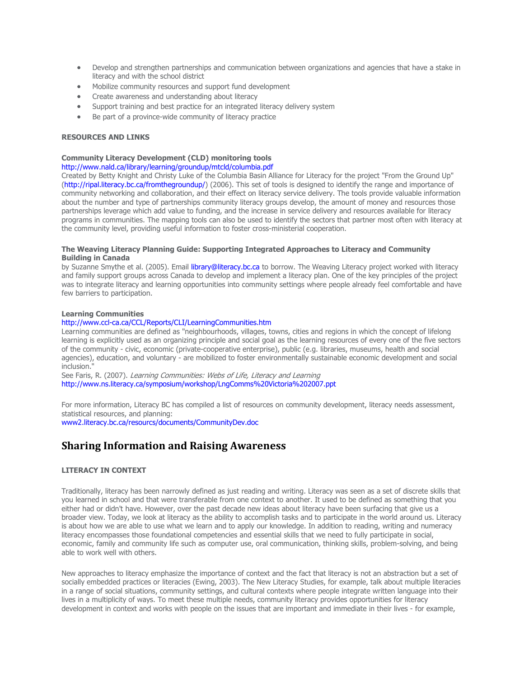- <span id="page-8-0"></span>• Develop and strengthen partnerships and communication between organizations and agencies that have a stake in literacy and with the school district
- Mobilize community resources and support fund development
- Create awareness and understanding about literacy
- Support training and best practice for an integrated literacy delivery system
- Be part of a province-wide community of literacy practice

#### **RESOURCES AND LINKS**

#### **Community Literacy Development (CLD) monitoring tools**

#### http://www.nald.ca/library/learning/groundup/mtcld/columbia.pdf

Created by Betty Knight and Christy Luke of the Columbia Basin Alliance for Literacy for the project "From the Ground Up" (http://ripal.literacy.bc.ca/fromthegroundup/) (2006). This set of tools is designed to identify the range and importance of community networking and collaboration, and their effect on literacy service delivery. The tools provide valuable information about the number and type of partnerships community literacy groups develop, the amount of money and resources those partnerships leverage which add value to funding, and the increase in service delivery and resources available for literacy programs in communities. The mapping tools can also be used to identify the sectors that partner most often with literacy at the community level, providing useful information to foster cross-ministerial cooperation.

#### **The Weaving Literacy Planning Guide: Supporting Integrated Approaches to Literacy and Community Building in Canada**

by Suzanne Smythe et al. (2005). Email library@literacy.bc.ca to borrow. The Weaving Literacy project worked with literacy and family support groups across Canada to develop and implement a literacy plan. One of the key principles of the project was to integrate literacy and learning opportunities into community settings where people already feel comfortable and have few barriers to participation.

#### **Learning Communities**

#### http://www.ccl-ca.ca/CCL/Reports/CLI/LearningCommunities.htm

Learning communities are defined as "neighbourhoods, villages, towns, cities and regions in which the concept of lifelong learning is explicitly used as an organizing principle and social goal as the learning resources of every one of the five sectors of the community - civic, economic (private-cooperative enterprise), public (e.g. libraries, museums, health and social agencies), education, and voluntary - are mobilized to foster environmentally sustainable economic development and social inclusion."

See Faris, R. (2007). Learning Communities: Webs of Life, Literacy and Learning http://www.ns.literacy.ca/symposium/workshop/LngComms%20Victoria%202007.ppt

For more information, Literacy BC has compiled a list of resources on community development, literacy needs assessment, statistical resources, and planning: [www2.literacy.bc.ca/resourcs/documents/CommunityDev.doc](http://www2.literacy.bc.ca/resourcs/documents/CommunityDev.doc)

### **Sharing Information and Raising Awareness**

#### **LITERACY IN CONTEXT**

Traditionally, literacy has been narrowly defined as just reading and writing. Literacy was seen as a set of discrete skills that you learned in school and that were transferable from one context to another. It used to be defined as something that you either had or didn't have. However, over the past decade new ideas about literacy have been surfacing that give us a broader view. Today, we look at literacy as the ability to accomplish tasks and to participate in the world around us. Literacy is about how we are able to use what we learn and to apply our knowledge. In addition to reading, writing and numeracy literacy encompasses those foundational competencies and essential skills that we need to fully participate in social, economic, family and community life such as computer use, oral communication, thinking skills, problem-solving, and being able to work well with others.

New approaches to literacy emphasize the importance of context and the fact that literacy is not an abstraction but a set of socially embedded practices or literacies (Ewing, 2003). The New Literacy Studies, for example, talk about multiple literacies in a range of social situations, community settings, and cultural contexts where people integrate written language into their lives in a multiplicity of ways. To meet these multiple needs, community literacy provides opportunities for literacy development in context and works with people on the issues that are important and immediate in their lives - for example,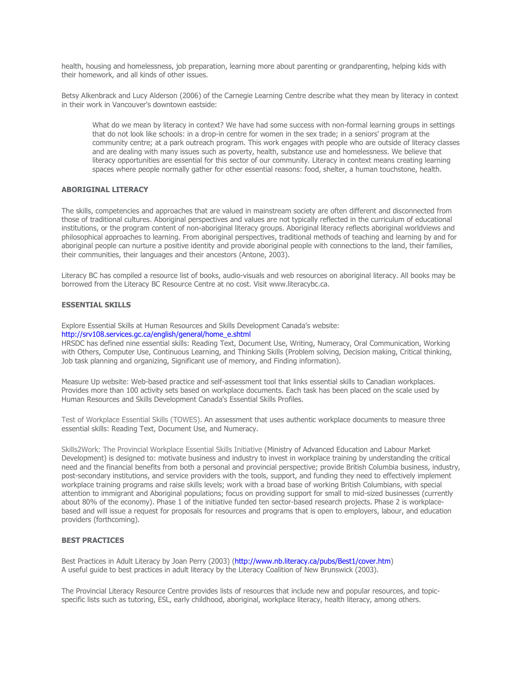health, housing and homelessness, job preparation, learning more about parenting or grandparenting, helping kids with their homework, and all kinds of other issues.

Betsy Alkenbrack and Lucy Alderson (2006) of the Carnegie Learning Centre describe what they mean by literacy in context in their work in Vancouver's downtown eastside:

What do we mean by literacy in context? We have had some success with non-formal learning groups in settings that do not look like schools: in a drop-in centre for women in the sex trade; in a seniors' program at the community centre; at a park outreach program. This work engages with people who are outside of literacy classes and are dealing with many issues such as poverty, health, substance use and homelessness. We believe that literacy opportunities are essential for this sector of our community. Literacy in context means creating learning spaces where people normally gather for other essential reasons: food, shelter, a human touchstone, health.

#### **ABORIGINAL LITERACY**

The skills, competencies and approaches that are valued in mainstream society are often different and disconnected from those of traditional cultures. Aboriginal perspectives and values are not typically reflected in the curriculum of educational institutions, or the program content of non-aboriginal literacy groups. Aboriginal literacy reflects aboriginal worldviews and philosophical approaches to learning. From aboriginal perspectives, traditional methods of teaching and learning by and for aboriginal people can nurture a positive identity and provide aboriginal people with connections to the land, their families, their communities, their languages and their ancestors (Antone, 2003).

Literacy BC has compiled a resource list of books, audio-visuals and web resources on aboriginal literacy. All books may be borrowed from the Literacy BC Resource Centre at no cost. Visit www.literacybc.ca.

#### **ESSENTIAL SKILLS**

Explore Essential Skills at Human Resources and Skills Development Canada's website:

[http://srv108.services.gc.ca/english/general/home\\_e.shtml](http://srv108.services.gc.ca/english/general/home_e.shtml)

HRSDC has defined nine essential skills: Reading Text, Document Use, Writing, Numeracy, Oral Communication, Working with Others, Computer Use, Continuous Learning, and Thinking Skills (Problem solving, Decision making, Critical thinking, Job task planning and organizing, Significant use of memory, and Finding information).

Measure Up website: Web-based practice and self-assessment tool that links essential skills to Canadian workplaces. Provides more than 100 activity sets based on workplace documents. Each task has been placed on the scale used by Human Resources and Skills Development Canada's Essential Skills Profiles.

Test of Workplace Essential Skills (TOWES). An assessment that uses authentic workplace documents to measure three essential skills: Reading Text, Document Use, and Numeracy.

Skills2Work: The Provincial Workplace Essential Skills Initiative (Ministry of Advanced Education and Labour Market Development) is designed to: motivate business and industry to invest in workplace training by understanding the critical need and the financial benefits from both a personal and provincial perspective; provide British Columbia business, industry, post-secondary institutions, and service providers with the tools, support, and funding they need to effectively implement workplace training programs and raise skills levels; work with a broad base of working British Columbians, with special attention to immigrant and Aboriginal populations; focus on providing support for small to mid-sized businesses (currently about 80% of the economy). Phase 1 of the initiative funded ten sector-based research projects. Phase 2 is workplacebased and will issue a request for proposals for resources and programs that is open to employers, labour, and education providers (forthcoming).

#### **BEST PRACTICES**

Best Practices in Adult Literacy by Joan Perry (2003) (http://www.nb.literacy.ca/pubs/Best1/cover.htm) A useful guide to best practices in adult literacy by the Literacy Coalition of New Brunswick (2003).

The Provincial Literacy Resource Centre provides lists of resources that include new and popular resources, and topicspecific lists such as tutoring, ESL, early childhood, aboriginal, workplace literacy, health literacy, among others.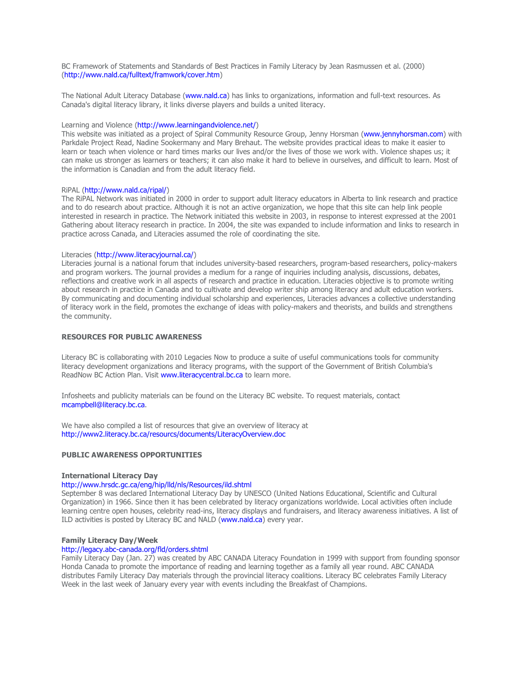BC Framework of Statements and Standards of Best Practices in Family Literacy by Jean Rasmussen et al. (2000) (http://www.nald.ca/fulltext/framwork/cover.htm)

The National Adult Literacy Database (www.nald.ca) has links to organizations, information and full-text resources. As Canada's digital literacy library, it links diverse players and builds a united literacy.

#### Learning and Violence (http://www.learningandviolence.net/)

This website was initiated as a project of Spiral Community Resource Group, Jenny Horsman (www.jennyhorsman.com) with Parkdale Project Read, Nadine Sookermany and Mary Brehaut. The website provides practical ideas to make it easier to learn or teach when violence or hard times marks our lives and/or the lives of those we work with. Violence shapes us; it can make us stronger as learners or teachers; it can also make it hard to believe in ourselves, and difficult to learn. Most of the information is Canadian and from the adult literacy field.

#### RiPAL (http://www.nald.ca/ripal/)

The RiPAL Network was initiated in 2000 in order to support adult literacy educators in Alberta to link research and practice and to do research about practice. Although it is not an active organization, we hope that this site can help link people interested in research in practice. The Network initiated this website in 2003, in response to interest expressed at the 2001 Gathering about literacy research in practice. In 2004, the site was expanded to include information and links to research in practice across Canada, and Literacies assumed the role of coordinating the site.

#### Literacies (http://www.literacyjournal.ca/)

Literacies journal is a national forum that includes university-based researchers, program-based researchers, policy-makers and program workers. The journal provides a medium for a range of inquiries including analysis, discussions, debates, reflections and creative work in all aspects of research and practice in education. Literacies objective is to promote writing about research in practice in Canada and to cultivate and develop writer ship among literacy and adult education workers. By communicating and documenting individual scholarship and experiences, Literacies advances a collective understanding of literacy work in the field, promotes the exchange of ideas with policy-makers and theorists, and builds and strengthens the community.

#### **RESOURCES FOR PUBLIC AWARENESS**

Literacy BC is collaborating with 2010 Legacies Now to produce a suite of useful communications tools for community literacy development organizations and literacy programs, with the support of the Government of British Columbia's ReadNow BC Action Plan. Visit [www.literacycentral.bc.ca](http://www.literacycentral.bc.ca/) to learn more.

Infosheets and publicity materials can be found on the Literacy BC website. To request materials, contact mcampbell@literacy.bc.ca.

We have also compiled a list of resources that give an overview of literacy at http://www2.literacy.bc.ca/resourcs/documents/LiteracyOverview.doc

#### **PUBLIC AWARENESS OPPORTUNITIES**

#### **International Literacy Day**

#### http://www.hrsdc.gc.ca/eng/hip/lld/nls/Resources/ild.shtml

September 8 was declared International Literacy Day by UNESCO (United Nations Educational, Scientific and Cultural Organization) in 1966. Since then it has been celebrated by literacy organizations worldwide. Local activities often include learning centre open houses, celebrity read-ins, literacy displays and fundraisers, and literacy awareness initiatives. A list of ILD activities is posted by Literacy BC and NALD (www.nald.ca) every year.

#### **Family Literacy Day/Week**

#### http://legacy.abc-canada.org/fld/orders.shtml

Family Literacy Day (Jan. 27) was created by ABC CANADA Literacy Foundation in 1999 with support from founding sponsor Honda Canada to promote the importance of reading and learning together as a family all year round. ABC CANADA distributes Family Literacy Day materials through the provincial literacy coalitions. Literacy BC celebrates Family Literacy Week in the last week of January every year with events including the Breakfast of Champions.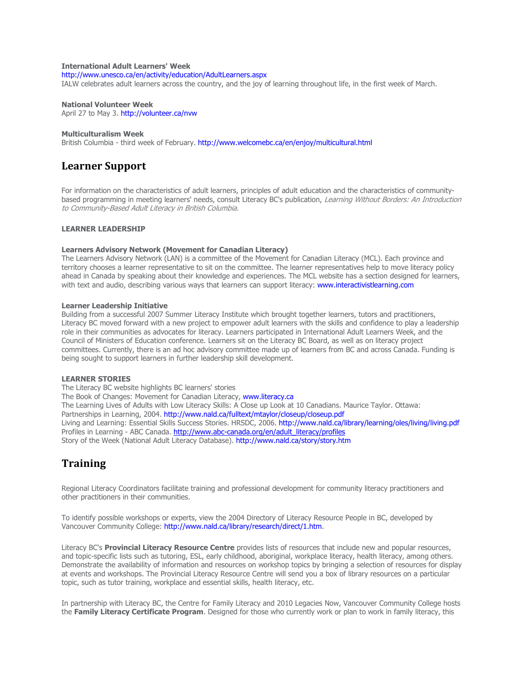#### <span id="page-11-0"></span>**International Adult Learners' Week**

http://www.unesco.ca/en/activity/education/AdultLearners.aspx

IALW celebrates adult learners across the country, and the joy of learning throughout life, in the first week of March.

#### **National Volunteer Week**

April 27 to May 3. http://volunteer.ca/nvw

#### **Multiculturalism Week**

British Columbia - third week of February. http://www.welcomebc.ca/en/enjoy/multicultural.html

### **Learner Support**

For information on the characteristics of adult learners, principles of adult education and the characteristics of communitybased programming in meeting learners' needs, consult Literacy BC's publication, Learning Without Borders: An Introduction to Community-Based Adult Literacy in British Columbia.

#### **LEARNER LEADERSHIP**

#### **Learners Advisory Network (Movement for Canadian Literacy)**

The Learners Advisory Network (LAN) is a committee of the Movement for Canadian Literacy (MCL). Each province and territory chooses a learner representative to sit on the committee. The learner representatives help to move literacy policy ahead in Canada by speaking about their knowledge and experiences. The MCL website has a section designed for learners, with text and audio, describing various ways that learners can support literacy: [www.interactivistlearning.com](http://www.interactivistlearning.com/)

#### **Learner Leadership Initiative**

Building from a successful 2007 Summer Literacy Institute which brought together learners, tutors and practitioners, Literacy BC moved forward with a new project to empower adult learners with the skills and confidence to play a leadership role in their communities as advocates for literacy. Learners participated in International Adult Learners Week, and the Council of Ministers of Education conference. Learners sit on the Literacy BC Board, as well as on literacy project committees. Currently, there is an ad hoc advisory committee made up of learners from BC and across Canada. Funding is being sought to support learners in further leadership skill development.

#### **LEARNER STORIES**

The Literacy BC website highlights BC learners' stories The Book of Changes: Movement for Canadian Literacy, www.literacy.ca The Learning Lives of Adults with Low Literacy Skills: A Close up Look at 10 Canadians. Maurice Taylor. Ottawa: Partnerships in Learning, 2004[. http://www.nald.ca/fulltext/mtaylor/closeup/closeup.pdf](http://www.nald.ca/fulltext/mtaylor/closeup/closeup.pdf) Living and Learning: Essential Skills Success Stories. HRSDC, 2006. <http://www.nald.ca/library/learning/oles/living/living.pdf> Profiles in Learning - ABC Canada. [http://www.abc-canada.org/en/adult\\_literacy/profiles](http://www.abc-canada.org/en/adult_literacy/profiles) Story of the Week (National Adult Literacy Database).<http://www.nald.ca/story/story.htm>

### **Training**

Regional Literacy Coordinators facilitate training and professional development for community literacy practitioners and other practitioners in their communities.

To identify possible workshops or experts, view the 2004 Directory of Literacy Resource People in BC, developed by Vancouver Community College: http://www.nald.ca/library/research/direct/1.htm.

Literacy BC's **Provincial Literacy Resource Centre** provides lists of resources that include new and popular resources, and topic-specific lists such as tutoring, ESL, early childhood, aboriginal, workplace literacy, health literacy, among others. Demonstrate the availability of information and resources on workshop topics by bringing a selection of resources for display at events and workshops. The Provincial Literacy Resource Centre will send you a box of library resources on a particular topic, such as tutor training, workplace and essential skills, health literacy, etc.

In partnership with Literacy BC, the Centre for Family Literacy and 2010 Legacies Now, Vancouver Community College hosts the **Family Literacy Certificate Program**. Designed for those who currently work or plan to work in family literacy, this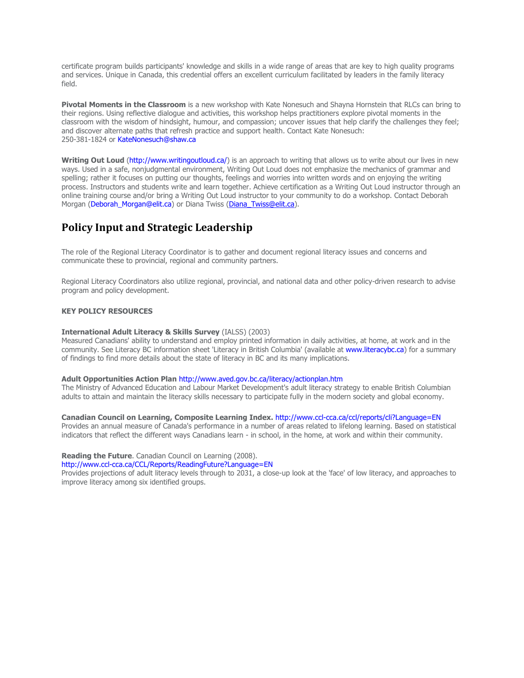<span id="page-12-0"></span>certificate program builds participants' knowledge and skills in a wide range of areas that are key to high quality programs and services. Unique in Canada, this credential offers an excellent curriculum facilitated by leaders in the family literacy field.

**Pivotal Moments in the Classroom** is a new workshop with Kate Nonesuch and Shayna Hornstein that RLCs can bring to their regions. Using reflective dialogue and activities, this workshop helps practitioners explore pivotal moments in the classroom with the wisdom of hindsight, humour, and compassion; uncover issues that help clarify the challenges they feel; and discover alternate paths that refresh practice and support health. Contact Kate Nonesuch: 250-381-1824 or KateNonesuch@shaw.ca

**Writing Out Loud (http://www.writingoutloud.ca/)** is an approach to writing that allows us to write about our lives in new ways. Used in a safe, nonjudgmental environment, Writing Out Loud does not emphasize the mechanics of grammar and spelling; rather it focuses on putting our thoughts, feelings and worries into written words and on enjoying the writing process. Instructors and students write and learn together. Achieve certification as a Writing Out Loud instructor through an online training course and/or bring a Writing Out Loud instructor to your community to do a workshop. Contact Deborah Morgan (Deborah Morgan@elit.ca) or Diana Twiss (Diana Twiss@elit.ca).

### **Policy Input and Strategic Leadership**

The role of the Regional Literacy Coordinator is to gather and document regional literacy issues and concerns and communicate these to provincial, regional and community partners.

Regional Literacy Coordinators also utilize regional, provincial, and national data and other policy-driven research to advise program and policy development.

#### **KEY POLICY RESOURCES**

#### **International Adult Literacy & Skills Survey** (IALSS) (2003)

Measured Canadians' ability to understand and employ printed information in daily activities, at home, at work and in the community. See Literacy BC information sheet 'Literacy in British Columbia' (available at www.literacybc.ca) for a summary of findings to find more details about the state of literacy in BC and its many implications.

#### **Adult Opportunities Action Plan** http://www.aved.gov.bc.ca/literacy/actionplan.htm

The Ministry of Advanced Education and Labour Market Development's adult literacy strategy to enable British Columbian adults to attain and maintain the literacy skills necessary to participate fully in the modern society and global economy.

#### **Canadian Council on Learning, Composite Learning Index.** http://www.ccl-cca.ca/ccl/reports/cli?Language=EN

Provides an annual measure of Canada's performance in a number of areas related to lifelong learning. Based on statistical indicators that reflect the different ways Canadians learn - in school, in the home, at work and within their community.

#### **Reading the Future**. Canadian Council on Learning (2008).

http://www.ccl-cca.ca/CCL/Reports/ReadingFuture?Language=EN

Provides projections of adult literacy levels through to 2031, a close-up look at the 'face' of low literacy, and approaches to improve literacy among six identified groups.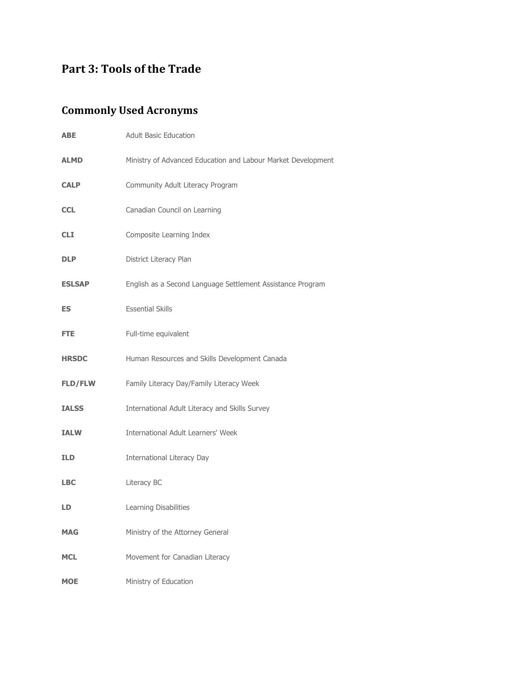# <span id="page-13-0"></span>**Part 3: Tools of the Trade**

# **Commonly Used Acronyms**

| <b>ABE</b>     | <b>Adult Basic Education</b>                                 |
|----------------|--------------------------------------------------------------|
| <b>ALMD</b>    | Ministry of Advanced Education and Labour Market Development |
| <b>CALP</b>    | Community Adult Literacy Program                             |
| <b>CCL</b>     | Canadian Council on Learning                                 |
| <b>CLI</b>     | Composite Learning Index                                     |
| <b>DLP</b>     | District Literacy Plan                                       |
| <b>ESLSAP</b>  | English as a Second Language Settlement Assistance Program   |
| <b>ES</b>      | <b>Essential Skills</b>                                      |
| FTE.           | Full-time equivalent                                         |
| <b>HRSDC</b>   | Human Resources and Skills Development Canada                |
| <b>FLD/FLW</b> | Family Literacy Day/Family Literacy Week                     |
| <b>IALSS</b>   | International Adult Literacy and Skills Survey               |
| <b>IALW</b>    | <b>International Adult Learners' Week</b>                    |
| <b>ILD</b>     | <b>International Literacy Day</b>                            |
| <b>LBC</b>     | Literacy BC                                                  |
| LD             | Learning Disabilities                                        |
| <b>MAG</b>     | Ministry of the Attorney General                             |
| <b>MCL</b>     | Movement for Canadian Literacy                               |
| <b>MOE</b>     | Ministry of Education                                        |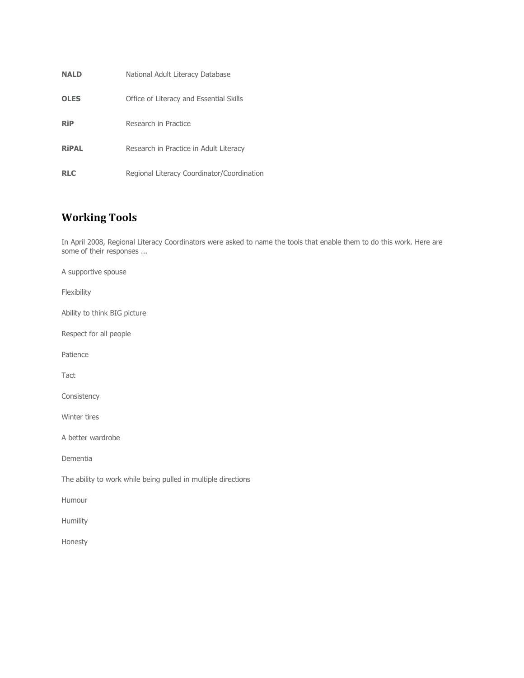<span id="page-14-0"></span>

| <b>NALD</b>  | National Adult Literacy Database           |
|--------------|--------------------------------------------|
| <b>OLES</b>  | Office of Literacy and Essential Skills    |
| <b>RiP</b>   | Research in Practice                       |
| <b>RiPAL</b> | Research in Practice in Adult Literacy     |
| <b>RLC</b>   | Regional Literacy Coordinator/Coordination |

# **Working Tools**

In April 2008, Regional Literacy Coordinators were asked to name the tools that enable them to do this work. Here are some of their responses ...

A supportive spouse

Flexibility

Ability to think BIG picture

Respect for all people

Patience

Tact

Consistency

Winter tires

A better wardrobe

Dementia

The ability to work while being pulled in multiple directions

Humour

Humility

Honesty